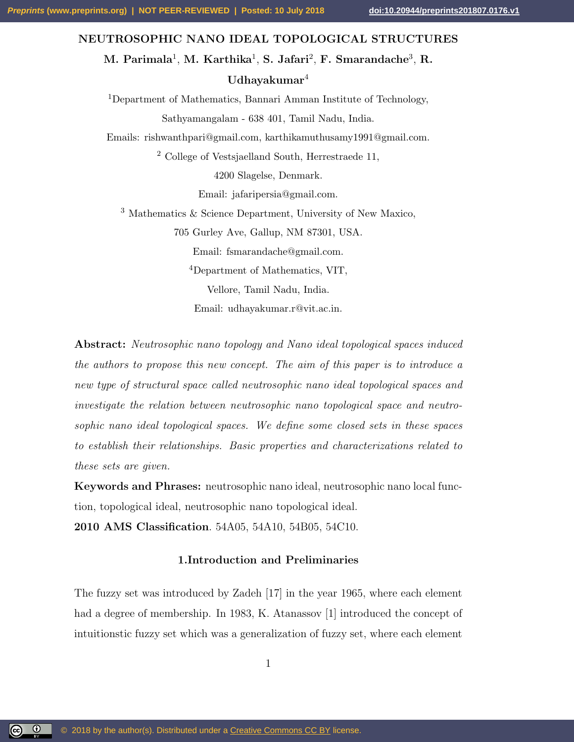### NEUTROSOPHIC NANO IDEAL TOPOLOGICAL STRUCTURES

M. Parimala $^1$ , M. Karthika $^1$ , S. Jafari $^2$ , F. Smarandache $^3$ , R. Udhayakumar $4$ 

<sup>1</sup>Department of Mathematics, Bannari Amman Institute of Technology, Sathyamangalam - 638 401, Tamil Nadu, India.

Emails: rishwanthpari@gmail.com, karthikamuthusamy1991@gmail.com.

<sup>2</sup> College of Vestsjaelland South, Herrestraede 11,

4200 Slagelse, Denmark.

Email: jafaripersia@gmail.com.

<sup>3</sup> Mathematics & Science Department, University of New Maxico,

705 Gurley Ave, Gallup, NM 87301, USA.

Email: fsmarandache@gmail.com.

<sup>4</sup>Department of Mathematics, VIT,

Vellore, Tamil Nadu, India.

Email: udhayakumar.r@vit.ac.in.

Abstract: Neutrosophic nano topology and Nano ideal topological spaces induced the authors to propose this new concept. The aim of this paper is to introduce a new type of structural space called neutrosophic nano ideal topological spaces and investigate the relation between neutrosophic nano topological space and neutrosophic nano ideal topological spaces. We define some closed sets in these spaces to establish their relationships. Basic properties and characterizations related to these sets are given.

Keywords and Phrases: neutrosophic nano ideal, neutrosophic nano local function, topological ideal, neutrosophic nano topological ideal.

2010 AMS Classification. 54A05, 54A10, 54B05, 54C10.

## 1.Introduction and Preliminaries

The fuzzy set was introduced by Zadeh [17] in the year 1965, where each element had a degree of membership. In 1983, K. Atanassov [1] introduced the concept of intuitionstic fuzzy set which was a generalization of fuzzy set, where each element

<u>(ල 0</u>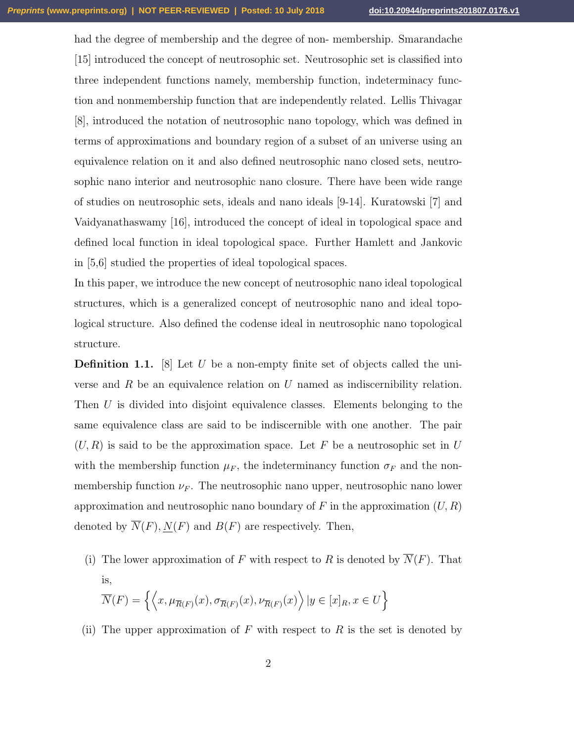had the degree of membership and the degree of non- membership. Smarandache [15] introduced the concept of neutrosophic set. Neutrosophic set is classified into three independent functions namely, membership function, indeterminacy function and nonmembership function that are independently related. Lellis Thivagar [8], introduced the notation of neutrosophic nano topology, which was defined in terms of approximations and boundary region of a subset of an universe using an equivalence relation on it and also defined neutrosophic nano closed sets, neutrosophic nano interior and neutrosophic nano closure. There have been wide range of studies on neutrosophic sets, ideals and nano ideals [9-14]. Kuratowski [7] and Vaidyanathaswamy [16], introduced the concept of ideal in topological space and defined local function in ideal topological space. Further Hamlett and Jankovic in [5,6] studied the properties of ideal topological spaces.

In this paper, we introduce the new concept of neutrosophic nano ideal topological structures, which is a generalized concept of neutrosophic nano and ideal topological structure. Also defined the codense ideal in neutrosophic nano topological structure.

**Definition 1.1.** [8] Let U be a non-empty finite set of objects called the universe and  $R$  be an equivalence relation on  $U$  named as indiscernibility relation. Then U is divided into disjoint equivalence classes. Elements belonging to the same equivalence class are said to be indiscernible with one another. The pair  $(U, R)$  is said to be the approximation space. Let F be a neutrosophic set in U with the membership function  $\mu_F$ , the indeterminancy function  $\sigma_F$  and the nonmembership function  $\nu_F$ . The neutrosophic nano upper, neutrosophic nano lower approximation and neutrosophic nano boundary of F in the approximation  $(U, R)$ denoted by  $\overline{N}(F), \underline{N}(F)$  and  $B(F)$  are respectively. Then,

(i) The lower approximation of F with respect to R is denoted by  $\overline{N}(F)$ . That is,  $\overline{N}(F) = \left\{ \left\langle x, \mu_{\overline{R}(F)}(x), \sigma_{\overline{R}(F)}(x), \nu_{\overline{R}(F)}(x) \right\rangle | y \in [x]_R, x \in U \right\}$ 

(ii) The upper approximation of F with respect to R is the set is denoted by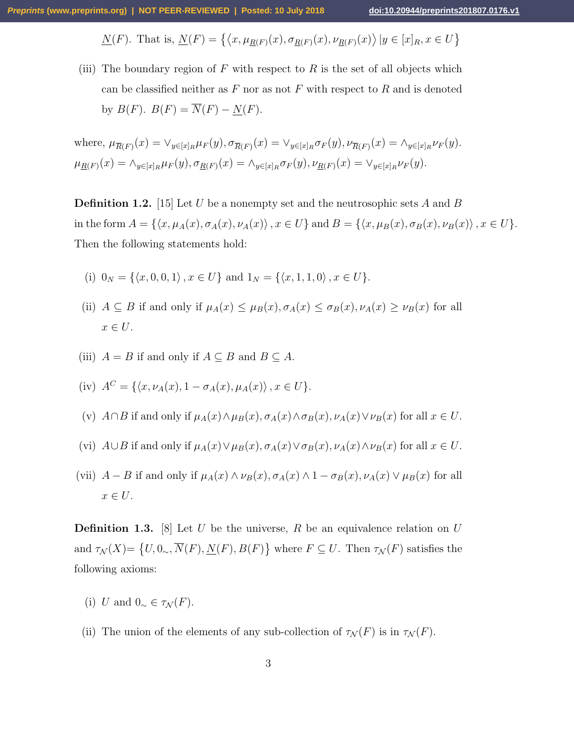$$
\underline{N}(F). \text{ That is, } \underline{N}(F) = \{ \langle x, \mu_{\underline{R}(F)}(x), \sigma_{\underline{R}(F)}(x), \nu_{\underline{R}(F)}(x) \rangle \, | y \in [x]_R, x \in U \}
$$

(iii) The boundary region of  $F$  with respect to  $R$  is the set of all objects which can be classified neither as  $F$  nor as not  $F$  with respect to  $R$  and is denoted by  $B(F)$ .  $B(F) = \overline{N}(F) - N(F)$ .

where, 
$$
\mu_{\overline{R}(F)}(x) = \vee_{y \in [x]_R} \mu_F(y), \sigma_{\overline{R}(F)}(x) = \vee_{y \in [x]_R} \sigma_F(y), \nu_{\overline{R}(F)}(x) = \wedge_{y \in [x]_R} \nu_F(y).
$$
  
\n $\mu_{\underline{R}(F)}(x) = \wedge_{y \in [x]_R} \mu_F(y), \sigma_{\underline{R}(F)}(x) = \wedge_{y \in [x]_R} \sigma_F(y), \nu_{\underline{R}(F)}(x) = \vee_{y \in [x]_R} \nu_F(y).$ 

**Definition 1.2.** [15] Let U be a nonempty set and the neutrosophic sets A and B in the form  $A = \{\langle x, \mu_A(x), \sigma_A(x), \nu_A(x)\rangle, x \in U\}$  and  $B = \{\langle x, \mu_B(x), \sigma_B(x), \nu_B(x)\rangle, x \in U\}.$ Then the following statements hold:

- (i)  $0_N = \{ \langle x, 0, 0, 1 \rangle, x \in U \}$  and  $1_N = \{ \langle x, 1, 1, 0 \rangle, x \in U \}.$
- (ii)  $A \subseteq B$  if and only if  $\mu_A(x) \leq \mu_B(x), \sigma_A(x) \leq \sigma_B(x), \nu_A(x) \geq \nu_B(x)$  for all  $x \in U$ .
- (iii)  $A = B$  if and only if  $A \subseteq B$  and  $B \subseteq A$ .

(iv) 
$$
A^C = \{ \langle x, \nu_A(x), 1 - \sigma_A(x), \mu_A(x) \rangle, x \in U \}.
$$

- (v)  $A \cap B$  if and only if  $\mu_A(x) \wedge \mu_B(x), \sigma_A(x) \wedge \sigma_B(x), \nu_A(x) \vee \nu_B(x)$  for all  $x \in U$ .
- (vi)  $A\cup B$  if and only if  $\mu_A(x)\vee \mu_B(x), \sigma_A(x)\vee \sigma_B(x), \nu_A(x)\wedge \nu_B(x)$  for all  $x\in U$ .
- (vii)  $A B$  if and only if  $\mu_A(x) \wedge \nu_B(x), \sigma_A(x) \wedge 1 \sigma_B(x), \nu_A(x) \vee \mu_B(x)$  for all  $x \in U$ .

**Definition 1.3.** [8] Let U be the universe, R be an equivalence relation on U and  $\tau_{\mathcal{N}}(X) = \{U, 0\}, \overline{N}(F), \underline{N}(F), B(F)\}\$  where  $F \subseteq U$ . Then  $\tau_{\mathcal{N}}(F)$  satisfies the following axioms:

- (i) U and  $0_{\sim} \in \tau_{\mathcal{N}}(F)$ .
- (ii) The union of the elements of any sub-collection of  $\tau_{\mathcal{N}}(F)$  is in  $\tau_{\mathcal{N}}(F)$ .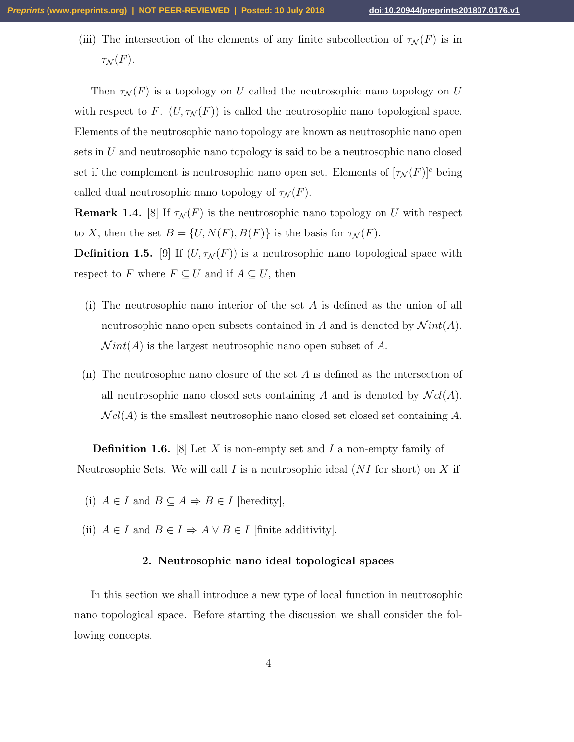(iii) The intersection of the elements of any finite subcollection of  $\tau_{\mathcal{N}}(F)$  is in  $\tau_{\mathcal{N}}(F).$ 

Then  $\tau_{\mathcal{N}}(F)$  is a topology on U called the neutrosophic nano topology on U with respect to F.  $(U, \tau_{\mathcal{N}}(F))$  is called the neutrosophic nano topological space. Elements of the neutrosophic nano topology are known as neutrosophic nano open sets in  $U$  and neutrosophic nano topology is said to be a neutrosophic nano closed set if the complement is neutrosophic nano open set. Elements of  $[\tau_N(F)]^c$  being called dual neutrosophic nano topology of  $\tau_{\mathcal{N}}(F)$ .

**Remark 1.4.** [8] If  $\tau_{\mathcal{N}}(F)$  is the neutrosophic nano topology on U with respect to X, then the set  $B = \{U, \underline{N}(F), B(F)\}\$ is the basis for  $\tau_{\mathcal{N}}(F)$ .

**Definition 1.5.** [9] If  $(U, \tau_{\mathcal{N}}(F))$  is a neutrosophic nano topological space with respect to F where  $F \subseteq U$  and if  $A \subseteq U$ , then

- (i) The neutrosophic nano interior of the set  $A$  is defined as the union of all neutrosophic nano open subsets contained in A and is denoted by  $\mathcal N\int int(A)$ .  $Nint(A)$  is the largest neutrosophic nano open subset of A.
- (ii) The neutrosophic nano closure of the set  $A$  is defined as the intersection of all neutrosophic nano closed sets containing A and is denoted by  $\mathcal{N}cl(A)$ .  $\mathcal{N}cl(A)$  is the smallest neutrosophic nano closed set closed set containing A.

**Definition 1.6.** [8] Let X is non-empty set and I a non-empty family of Neutrosophic Sets. We will call I is a neutrosophic ideal  $(NI)$  for short) on X if

- (i)  $A \in I$  and  $B \subseteq A \Rightarrow B \in I$  [heredity],
- (ii)  $A \in I$  and  $B \in I \Rightarrow A \vee B \in I$  [finite additivity].

### 2. Neutrosophic nano ideal topological spaces

In this section we shall introduce a new type of local function in neutrosophic nano topological space. Before starting the discussion we shall consider the following concepts.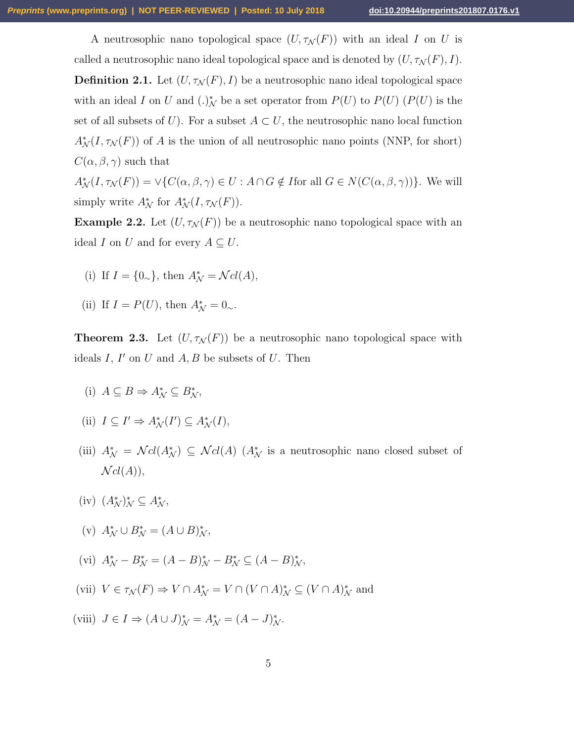A neutrosophic nano topological space  $(U, \tau_{\mathcal{N}}(F))$  with an ideal I on U is called a neutrosophic nano ideal topological space and is denoted by  $(U, \tau_{\mathcal{N}}(F), I)$ . **Definition 2.1.** Let  $(U, \tau_{\mathcal{N}}(F), I)$  be a neutrosophic nano ideal topological space with an ideal I on U and  $(.)^*_{\mathcal{N}}$  be a set operator from  $P(U)$  to  $P(U)$   $(P(U)$  is the set of all subsets of U). For a subset  $A \subset U$ , the neutrosophic nano local function  $A^*_{\mathcal{N}}(I, \tau_{\mathcal{N}}(F))$  of A is the union of all neutrosophic nano points (NNP, for short)  $C(\alpha, \beta, \gamma)$  such that

 $A_N^*(I, \tau_N(F)) = \vee \{C(\alpha, \beta, \gamma) \in U : A \cap G \notin I$  for all  $G \in N(C(\alpha, \beta, \gamma))\}$ . We will simply write  $A^*_{\mathcal{N}}$  for  $A^*_{\mathcal{N}}(I, \tau_{\mathcal{N}}(F)).$ 

**Example 2.2.** Let  $(U, \tau_{\mathcal{N}}(F))$  be a neutrosophic nano topological space with an ideal I on U and for every  $A \subseteq U$ .

- (i) If  $I = \{0_{\sim}\}\text{, then } A^*_{\mathcal{N}} = \mathcal{N}cl(A),$
- (ii) If  $I = P(U)$ , then  $A^*_{\mathcal{N}} = 0_{\sim}$ .

**Theorem 2.3.** Let  $(U, \tau_{\mathcal{N}}(F))$  be a neutrosophic nano topological space with ideals  $I, I'$  on  $U$  and  $A, B$  be subsets of  $U$ . Then

- (i)  $A \subseteq B \Rightarrow A^*_{\mathcal{N}} \subseteq B^*_{\mathcal{N}},$
- (ii)  $I \subseteq I' \Rightarrow A^*_{\mathcal{N}}(I') \subseteq A^*_{\mathcal{N}}(I),$
- (iii)  $A^*_{\mathcal{N}} = \mathcal{N}cl(A^*) \subseteq \mathcal{N}cl(A)$  ( $A^*_{\mathcal{N}}$  is a neutrosophic nano closed subset of  $Ncl(A)$ ,
- (iv)  $(A^*_\mathcal{N})^*_\mathcal{N} \subseteq A^*_\mathcal{N},$
- (v)  $A_N^* \cup B_N^* = (A \cup B)_N^*$ ,
- (vi)  $A_N^* B_N^* = (A B)_N^* B_N^* \subseteq (A B)_N^*$ ,
- (vii)  $V \in \tau_{\mathcal{N}}(F) \Rightarrow V \cap A_{\mathcal{N}}^* = V \cap (V \cap A)_{\mathcal{N}}^* \subseteq (V \cap A)_{\mathcal{N}}^*$  and
- (viii)  $J \in I \Rightarrow (A \cup J)^*_{\mathcal{N}} = A^*_{\mathcal{N}} = (A J)^*_{\mathcal{N}}.$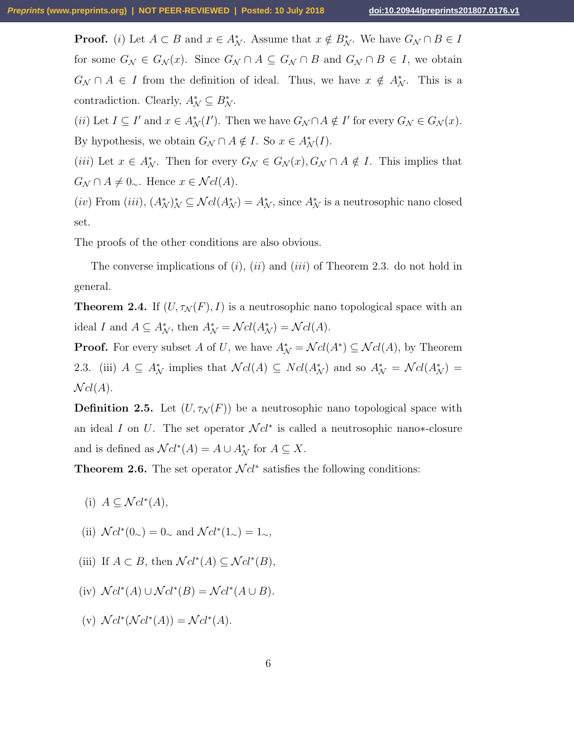**Proof.** (i) Let  $A \subset B$  and  $x \in A_N^*$ . Assume that  $x \notin B_N^*$ . We have  $G_N \cap B \in I$ for some  $G_{\mathcal{N}} \in G_{\mathcal{N}}(x)$ . Since  $G_{\mathcal{N}} \cap A \subseteq G_{\mathcal{N}} \cap B$  and  $G_{\mathcal{N}} \cap B \in I$ , we obtain  $G_N \cap A \in I$  from the definition of ideal. Thus, we have  $x \notin A_N^*$ . This is a contradiction. Clearly,  $A_N^* \subseteq B_N^*$ .

(*ii*) Let  $I \subseteq I'$  and  $x \in A_{\mathcal{N}}^*(I')$ . Then we have  $G_{\mathcal{N}} \cap A \notin I'$  for every  $G_{\mathcal{N}} \in G_{\mathcal{N}}(x)$ . By hypothesis, we obtain  $G_{\mathcal{N}} \cap A \notin I$ . So  $x \in A_{\mathcal{N}}^{*}(I)$ .

(iii) Let  $x \in A_N^*$ . Then for every  $G_N \in G_N(x)$ ,  $G_N \cap A \notin I$ . This implies that  $G_{\mathcal{N}} \cap A \neq 0_{\sim}$ . Hence  $x \in \mathcal{N}cl(A)$ .

(iv) From (iii),  $(A^*_\mathcal{N})^*_\mathcal{N} \subseteq \mathcal{N}cl(A^*_\mathcal{N}) = A^*_\mathcal{N}$ , since  $A^*_\mathcal{N}$  is a neutrosophic nano closed set.

The proofs of the other conditions are also obvious.

The converse implications of  $(i)$ ,  $(ii)$  and  $(iii)$  of Theorem 2.3. do not hold in general.

**Theorem 2.4.** If  $(U, \tau_{\mathcal{N}}(F), I)$  is a neutrosophic nano topological space with an ideal I and  $A \subseteq A_N^*$ , then  $A_N^* = \mathcal{N}cl(A_N^*) = \mathcal{N}cl(A)$ .

**Proof.** For every subset A of U, we have  $A^*_{\mathcal{N}} = \mathcal{N}cl(A^*) \subseteq \mathcal{N}cl(A)$ , by Theorem 2.3. (iii)  $A \subseteq A_N^*$  implies that  $\mathcal{N}cl(A) \subseteq \mathcal{N}cl(A_N^*)$  and so  $A_N^* = \mathcal{N}cl(A_N^*)$  $\mathcal{N}cl(A).$ 

**Definition 2.5.** Let  $(U, \tau_{\mathcal{N}}(F))$  be a neutrosophic nano topological space with an ideal I on U. The set operator  $\mathcal{N}cl^*$  is called a neutrosophic nano∗-closure and is defined as  $\mathcal{N}cl^*(A) = A \cup A_{\mathcal{N}}^*$  for  $A \subseteq X$ .

**Theorem 2.6.** The set operator  $\mathcal{N}cl^*$  satisfies the following conditions:

- (i)  $A \subseteq \mathcal{N}cl^*(A),$
- (ii)  $\mathcal{N}cl^*(0_{\sim})=0_{\sim}$  and  $\mathcal{N}cl^*(1_{\sim})=1_{\sim}$ ,
- (iii) If  $A \subset B$ , then  $\mathcal{N}cl^*(A) \subseteq \mathcal{N}cl^*(B)$ ,
- (iv)  $\mathcal{N}cl^*(A) \cup \mathcal{N}cl^*(B) = \mathcal{N}cl^*(A \cup B).$
- (v)  $\mathcal{N}cl^*(\mathcal{N}cl^*(A)) = \mathcal{N}cl^*(A).$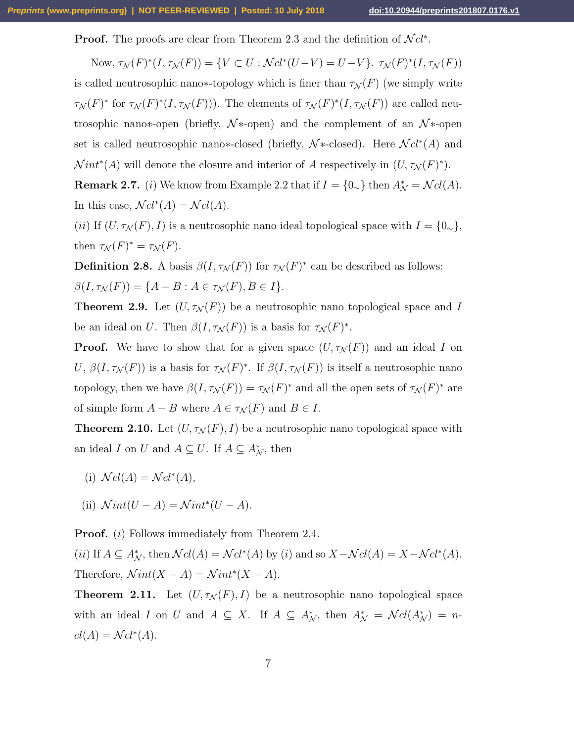**Proof.** The proofs are clear from Theorem 2.3 and the definition of  $\mathcal{N}cl^*$ .

Now,  $\tau_{\mathcal{N}}(F)^*(I, \tau_{\mathcal{N}}(F)) = \{ V \subset U : \mathcal{N}cl^*(U-V) = U-V \}$ .  $\tau_{\mathcal{N}}(F)^*(I, \tau_{\mathcal{N}}(F))$ is called neutrosophic nano∗-topology which is finer than  $\tau_{\mathcal{N}}(F)$  (we simply write  $\tau_N(F)^*$  for  $\tau_N(F)^*(I, \tau_N(F))$ . The elements of  $\tau_N(F)^*(I, \tau_N(F))$  are called neutrosophic nano∗-open (briefly,  $\mathcal{N}$ \*-open) and the complement of an  $\mathcal{N}$ \*-open set is called neutrosophic nano∗-closed (briefly,  $\mathcal{N}$ \*-closed). Here  $\mathcal{N}cl^*(A)$  and  $Nint^*(A)$  will denote the closure and interior of A respectively in  $(U, \tau_N(F)^*)$ .

**Remark 2.7.** (*i*) We know from Example 2.2 that if  $I = \{0_{\sim}\}\$  then  $A^*_{\mathcal{N}} = \mathcal{N}cl(A)$ . In this case,  $\mathcal{N}cl^*(A) = \mathcal{N}cl(A)$ .

(ii) If  $(U, \tau_{\mathcal{N}}(F), I)$  is a neutrosophic nano ideal topological space with  $I = \{0_{\sim}\},\$ then  $\tau_{\mathcal{N}}(F)^* = \tau_{\mathcal{N}}(F)$ .

**Definition 2.8.** A basis  $\beta(I, \tau_{\mathcal{N}}(F))$  for  $\tau_{\mathcal{N}}(F)^*$  can be described as follows:  $\beta(I, \tau_{\mathcal{N}}(F)) = \{A - B : A \in \tau_{\mathcal{N}}(F), B \in I\}.$ 

**Theorem 2.9.** Let  $(U, \tau_{\mathcal{N}}(F))$  be a neutrosophic nano topological space and I be an ideal on U. Then  $\beta(I, \tau_{\mathcal{N}}(F))$  is a basis for  $\tau_{\mathcal{N}}(F)^*$ .

**Proof.** We have to show that for a given space  $(U, \tau_{\mathcal{N}}(F))$  and an ideal I on U,  $\beta(I, \tau_{\mathcal{N}}(F))$  is a basis for  $\tau_{\mathcal{N}}(F)^*$ . If  $\beta(I, \tau_{\mathcal{N}}(F))$  is itself a neutrosophic nano topology, then we have  $\beta(I, \tau_{\mathcal{N}}(F)) = \tau_{\mathcal{N}}(F)^*$  and all the open sets of  $\tau_{\mathcal{N}}(F)^*$  are of simple form  $A - B$  where  $A \in \tau_{\mathcal{N}}(F)$  and  $B \in I$ .

**Theorem 2.10.** Let  $(U, \tau_{\mathcal{N}}(F), I)$  be a neutrosophic nano topological space with an ideal I on U and  $A \subseteq U$ . If  $A \subseteq A^*_{\mathcal{N}}$ , then

- (i)  $\mathcal{N}cl(A) = \mathcal{N}cl^*(A),$
- (ii)  $\mathcal Nint(U A) = \mathcal Nint^*(U A).$

**Proof.** (*i*) Follows immediately from Theorem 2.4.

(ii) If  $A \subseteq A_N^*$ , then  $\mathcal{N}cl(A) = \mathcal{N}cl^*(A)$  by (i) and so  $X - \mathcal{N}cl(A) = X - \mathcal{N}cl^*(A)$ . Therefore,  $\mathcal Nint(X - A) = \mathcal Nint^*(X - A)$ .

**Theorem 2.11.** Let  $(U, \tau_{\mathcal{N}}(F), I)$  be a neutrosophic nano topological space with an ideal I on U and  $A \subseteq X$ . If  $A \subseteq A_N^*$ , then  $A_N^* = \mathcal{N}cl(A_N^*) = n$  $cl(A) = \mathcal{N}cl^*(A).$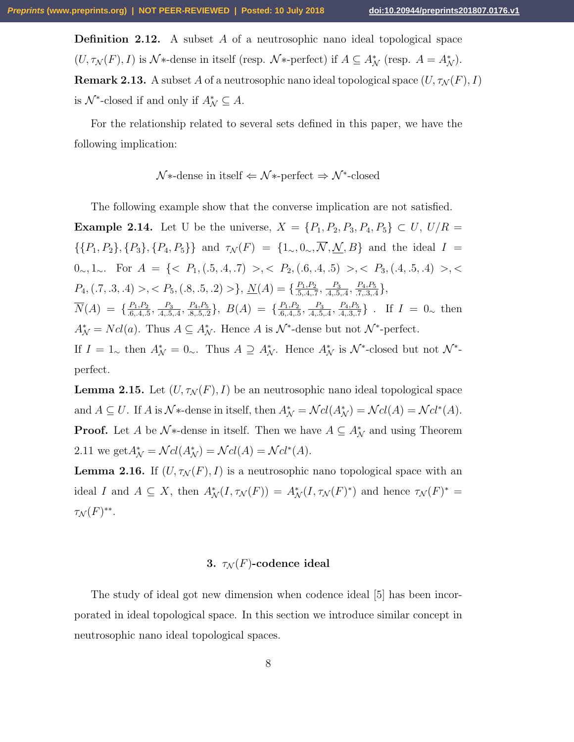**Definition 2.12.** A subset A of a neutrosophic nano ideal topological space  $(U, \tau_{\mathcal{N}}(F), I)$  is  $\mathcal{N}^*$ -dense in itself (resp.  $\mathcal{N}^*$ -perfect) if  $A \subseteq A^*_{\mathcal{N}}$  (resp.  $A = A^*_{\mathcal{N}}$ ). **Remark 2.13.** A subset A of a neutrosophic nano ideal topological space  $(U, \tau_{\mathcal{N}}(F), I)$ is  $\mathcal{N}^*$ -closed if and only if  $A^*_{\mathcal{N}} \subseteq A$ .

For the relationship related to several sets defined in this paper, we have the following implication:

$$
\mathcal{N} * \text{-dense in itself} \Leftarrow \mathcal{N} * \text{-perfect} \Rightarrow \mathcal{N}^* \text{-closed}
$$

The following example show that the converse implication are not satisfied.

**Example 2.14.** Let U be the universe,  $X = \{P_1, P_2, P_3, P_4, P_5\} \subset U$ ,  $U/R =$  $\{\{P_1, P_2\}, \{P_3\}, \{P_4, P_5\}\}\$ and  $\tau_{\mathcal{N}}(F) = \{1_{\sim}, 0_{\sim}, \overline{\mathcal{N}}, \underline{\mathcal{N}}, B\}\$ and the ideal  $I =$ 0∼, 1∼. For  $A = \{ \langle P_1, (.5, .4, .7) \rangle, \langle P_2, (.6, .4, .5) \rangle, \langle P_3, (.4, .5, .4) \rangle, \langle P_4, (.4, .5, .4) \rangle, \langle P_5, (.4, .5, .4) \rangle, \langle P_6, (.4, .5, .4) \rangle, \langle P_7, (.4, .5, .4) \rangle, \langle P_8, (.4, .5, .4) \rangle, \langle P_9, (.4, .5, .4) \rangle, \langle P_{10}, . . . . \rangle \}$  $P_4$ ,  $(.7, .3, .4)$ ,  $< P_5$ ,  $(.8, .5, .2)$ ,  $\underline{N}(A) = \{\frac{P_1, P_2}{5, .4, .5}\}$  $\frac{P_1,P_2}{.5,.4,.7}, \frac{P_3}{.4,.5}$  $\frac{P_3}{.4,.5,.4}, \frac{P_4, P_5}{.7,.3,.4}$  $\frac{P_4, P_5}{.7, .3, .4}$ ,  $\overline{N}(A) = \{\frac{P_1, P_2}{6 A} \}$  $\frac{P_1, P_2}{0.6, 4, 5}$ ,  $\frac{P_3}{0.4, 5}$  $\frac{P_3}{.4,.5,.4}, \frac{P_4,P_5}{.8,.5,.2}$  $\frac{P_4, P_5}{P_3, P_5, P_2}$ ,  $B(A) = \{\frac{P_1, P_2}{P_3, P_4, P_5}\}$  $\frac{P_1, P_2}{0.6, 4, 5}$ ,  $\frac{P_3}{0.4, 5}$  $\frac{P_3}{.4, .5, .4}, \frac{P_4, P_5}{.4, .3, .7}$  $\frac{P_4, P_5}{A_1, 3, .7}$ . If  $I = 0_{\sim}$  then  $A^*_{\mathcal{N}} = Ncl(a)$ . Thus  $A \subseteq A^*_{\mathcal{N}}$ . Hence A is  $\mathcal{N}^*$ -dense but not  $\mathcal{N}^*$ -perfect. If  $I = 1_{\sim}$  then  $A^*_{\mathcal{N}} = 0_{\sim}$ . Thus  $A \supseteq A^*_{\mathcal{N}}$ . Hence  $A^*_{\mathcal{N}}$  is  $\mathcal{N}^*$ -closed but not  $\mathcal{N}^*$ perfect.

**Lemma 2.15.** Let  $(U, \tau_{\mathcal{N}}(F), I)$  be an neutrosophic nano ideal topological space and  $A \subseteq U$ . If A is  $\mathcal{N}^*$ -dense in itself, then  $A^*_{\mathcal{N}} = \mathcal{N}cl(A^*) = \mathcal{N}cl(A) = \mathcal{N}cl^*(A)$ . **Proof.** Let A be  $\mathcal{N}^*$ -dense in itself. Then we have  $A \subseteq A_{\mathcal{N}}^*$  and using Theorem 2.11 we get  $A^*_{\mathcal{N}} = \mathcal{N}cl(A^*_{\mathcal{N}}) = \mathcal{N}cl(A) = \mathcal{N}cl^*(A)$ .

**Lemma 2.16.** If  $(U, \tau_{\mathcal{N}}(F), I)$  is a neutrosophic nano topological space with an ideal I and  $A \subseteq X$ , then  $A^*_{\mathcal{N}}(I, \tau_{\mathcal{N}}(F)) = A^*_{\mathcal{N}}(I, \tau_{\mathcal{N}}(F)^*)$  and hence  $\tau_{\mathcal{N}}(F)^* =$  $\tau_{\mathcal{N}}(F)^{**}.$ 

#### 3.  $\tau_{\mathcal{N}}(F)$ -codence ideal

The study of ideal got new dimension when codence ideal [5] has been incorporated in ideal topological space. In this section we introduce similar concept in neutrosophic nano ideal topological spaces.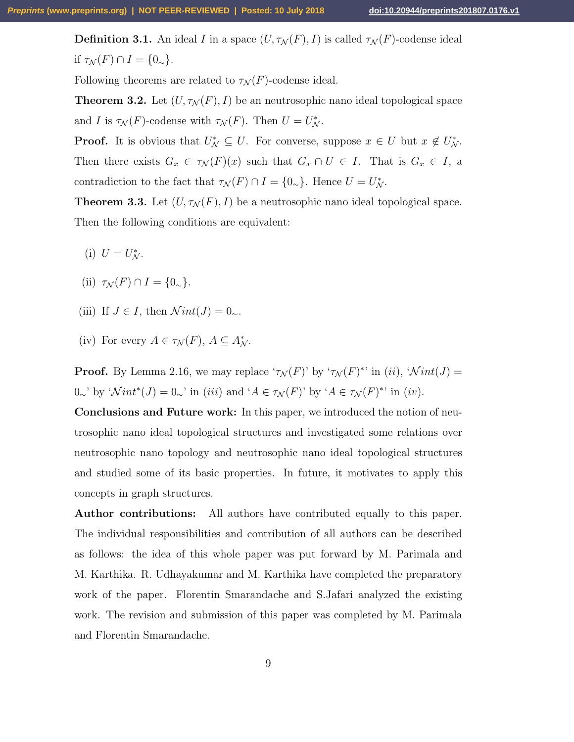**Definition 3.1.** An ideal I in a space  $(U, \tau_{\mathcal{N}}(F), I)$  is called  $\tau_{\mathcal{N}}(F)$ -codense ideal if  $\tau_{\mathcal{N}}(F) \cap I = \{0_{\sim}\}.$ 

Following theorems are related to  $\tau_{\mathcal{N}}(F)$ -codense ideal.

**Theorem 3.2.** Let  $(U, \tau_{\mathcal{N}}(F), I)$  be an neutrosophic nano ideal topological space and I is  $\tau_{\mathcal{N}}(F)$ -codense with  $\tau_{\mathcal{N}}(F)$ . Then  $U = U_{\mathcal{N}}^*$ .

**Proof.** It is obvious that  $U^*_{\mathcal{N}} \subseteq U$ . For converse, suppose  $x \in U$  but  $x \notin U^*_{\mathcal{N}}$ . Then there exists  $G_x \in \tau_{\mathcal{N}}(F)(x)$  such that  $G_x \cap U \in I$ . That is  $G_x \in I$ , a contradiction to the fact that  $\tau_{\mathcal{N}}(F) \cap I = \{0_{\sim}\}\.$  Hence  $U = U_{\mathcal{N}}^*$ .

**Theorem 3.3.** Let  $(U, \tau_{\mathcal{N}}(F), I)$  be a neutrosophic nano ideal topological space. Then the following conditions are equivalent:

- (i)  $U = U_{\mathcal{N}}^*$ .
- (ii)  $\tau_{\mathcal{N}}(F) \cap I = \{0_{\sim}\}.$
- (iii) If  $J \in I$ , then  $\mathcal{N}int(J) = 0_{\sim}$ .
- (iv) For every  $A \in \tau_{\mathcal{N}}(F)$ ,  $A \subseteq A_{\mathcal{N}}^*$ .

**Proof.** By Lemma 2.16, we may replace ' $\tau_{\mathcal{N}}(F)$ ' by ' $\tau_{\mathcal{N}}(F)^*$ ' in (ii), ' $\mathcal{N}int(J)$  = 0∼' by ' $\mathcal Nint^*(J) = 0$ ∼' in (iii) and ' $A \in \tau_{\mathcal N}(F)$ ' by ' $A \in \tau_{\mathcal N}(F)^*$ ' in (iv).

Conclusions and Future work: In this paper, we introduced the notion of neutrosophic nano ideal topological structures and investigated some relations over neutrosophic nano topology and neutrosophic nano ideal topological structures and studied some of its basic properties. In future, it motivates to apply this concepts in graph structures.

Author contributions: All authors have contributed equally to this paper. The individual responsibilities and contribution of all authors can be described as follows: the idea of this whole paper was put forward by M. Parimala and M. Karthika. R. Udhayakumar and M. Karthika have completed the preparatory work of the paper. Florentin Smarandache and S.Jafari analyzed the existing work. The revision and submission of this paper was completed by M. Parimala and Florentin Smarandache.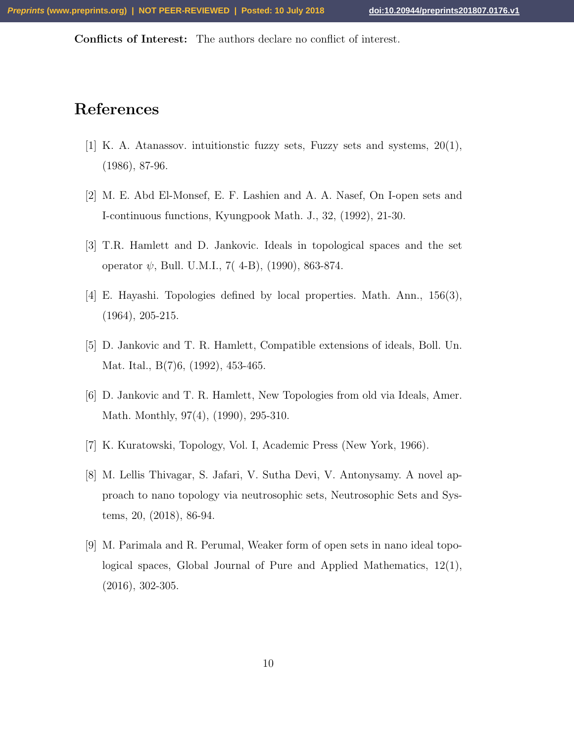Conflicts of Interest: The authors declare no conflict of interest.

# References

- [1] K. A. Atanassov. intuitionstic fuzzy sets, Fuzzy sets and systems, 20(1), (1986), 87-96.
- [2] M. E. Abd El-Monsef, E. F. Lashien and A. A. Nasef, On I-open sets and I-continuous functions, Kyungpook Math. J., 32, (1992), 21-30.
- [3] T.R. Hamlett and D. Jankovic. Ideals in topological spaces and the set operator  $\psi$ , Bull. U.M.I., 7(4-B), (1990), 863-874.
- [4] E. Hayashi. Topologies defined by local properties. Math. Ann., 156(3), (1964), 205-215.
- [5] D. Jankovic and T. R. Hamlett, Compatible extensions of ideals, Boll. Un. Mat. Ital., B(7)6, (1992), 453-465.
- [6] D. Jankovic and T. R. Hamlett, New Topologies from old via Ideals, Amer. Math. Monthly, 97(4), (1990), 295-310.
- [7] K. Kuratowski, Topology, Vol. I, Academic Press (New York, 1966).
- [8] M. Lellis Thivagar, S. Jafari, V. Sutha Devi, V. Antonysamy. A novel approach to nano topology via neutrosophic sets, Neutrosophic Sets and Systems, 20, (2018), 86-94.
- [9] M. Parimala and R. Perumal, Weaker form of open sets in nano ideal topological spaces, Global Journal of Pure and Applied Mathematics, 12(1), (2016), 302-305.